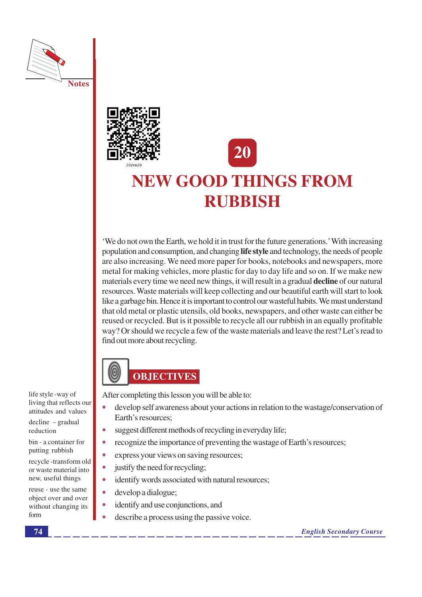



# **NEW GOOD THINGS FROM RUBBISH**

'We do not own the Earth, we hold it in trust for the future generations.' With increasing population and consumption, and changing **life style** and technology, the needs of people are also increasing. We need more paper for books, notebooks and newspapers, more metal for making vehicles, more plastic for day to day life and so on. If we make new materials every time we need new things, it will result in a gradual **decline** of our natural resources. Waste materials will keep collecting and our beautiful earth will start to look like a garbage bin. Hence it is important to control our wasteful habits. We must understand that old metal or plastic utensils, old books, newspapers, and other waste can either be reused or recycled. But is it possible to recycle all our rubbish in an equally profitable way? Or should we recycle a few of the waste materials and leave the rest? Let's read to find out more about recycling.



After completing this lesson you will be able to:

- develop self awareness about your actions in relation to the wastage/conservation of  $\bullet$ Earth's resources:
- suggest different methods of recycling in everyday life;
- recognize the importance of preventing the wastage of Earth's resources;  $\bullet$
- $\bullet$ express your views on saving resources;
- $\bullet$ justify the need for recycling;
- identify words associated with natural resources;  $\ddot{\phantom{a}}$
- $\bullet$ develop a dialogue;
- identify and use conjunctions, and  $\bullet$
- describe a process using the passive voice.  $\bullet$

life style -way of living that reflects our attitudes and values  $\text{decline} - \text{gradual}$ 

reduction

bin - a container for putting rubbish recycle-transform old

or waste material into new, useful things

reuse - use the same object over and over without changing its form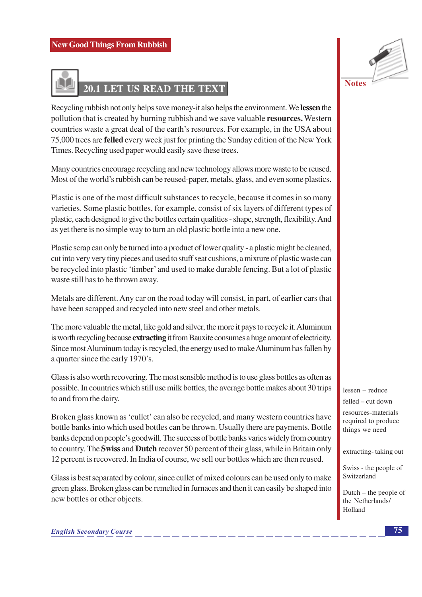

Recycling rubbish not only helps save money-it also helps the environment. We lessen the pollution that is created by burning rubbish and we save valuable resources. Western countries waste a great deal of the earth's resources. For example, in the USA about 75,000 trees are **felled** every week just for printing the Sunday edition of the New York Times. Recycling used paper would easily save these trees.

Many countries encourage recycling and new technology allows more waste to be reused. Most of the world's rubbish can be reused-paper, metals, glass, and even some plastics.

Plastic is one of the most difficult substances to recycle, because it comes in so many varieties. Some plastic bottles, for example, consist of six layers of different types of plastic, each designed to give the bottles certain qualities - shape, strength, flexibility. And as yet there is no simple way to turn an old plastic bottle into a new one.

Plastic scrap can only be turned into a product of lower quality - a plastic might be cleaned, cut into very very tiny pieces and used to stuff seat cushions, a mixture of plastic waste can be recycled into plastic 'timber' and used to make durable fencing. But a lot of plastic waste still has to be thrown away.

Metals are different. Any car on the road today will consist, in part, of earlier cars that have been scrapped and recycled into new steel and other metals.

The more valuable the metal, like gold and silver, the more it pays to recycle it. Aluminum is worth recycling because **extracting** it from Bauxite consumes a huge amount of electricity. Since most Aluminum today is recycled, the energy used to make Aluminum has fallen by a quarter since the early 1970's.

Glass is also worth recovering. The most sensible method is to use glass bottles as often as possible. In countries which still use milk bottles, the average bottle makes about 30 trips to and from the dairy.

Broken glass known as 'cullet' can also be recycled, and many western countries have bottle banks into which used bottles can be thrown. Usually there are payments. Bottle banks depend on people's goodwill. The success of bottle banks varies widely from country to country. The Swiss and Dutch recover 50 percent of their glass, while in Britain only 12 percent is recovered. In India of course, we sell our bottles which are then reused.

Glass is best separated by colour, since cullet of mixed colours can be used only to make green glass. Broken glass can be remelted in furnaces and then it can easily be shaped into new bottles or other objects.

lessen – reduce felled – cut down resources-materials required to produce things we need

extracting-taking out

Swiss - the people of Switzerland

Dutch  $-$  the people of the Netherlands/ Holland



**Notes**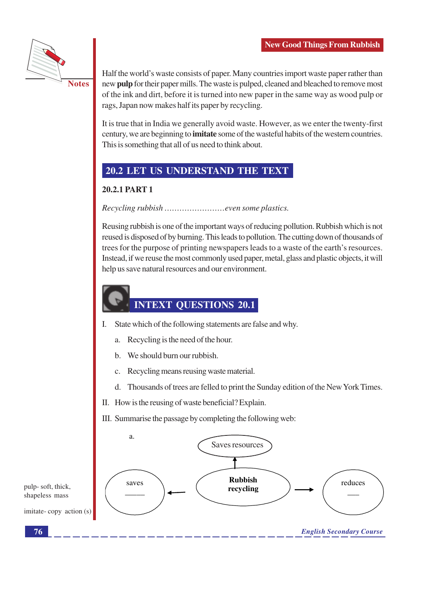

Half the world's waste consists of paper. Many countries import waste paper rather than new pulp for their paper mills. The waste is pulped, cleaned and bleached to remove most of the ink and dirt, before it is turned into new paper in the same way as wood pulp or rags, Japan now makes half its paper by recycling.

It is true that in India we generally avoid waste. However, as we enter the twenty-first century, we are beginning to **imitate** some of the wasteful habits of the western countries. This is something that all of us need to think about.

## **20.2 LET US UNDERSTAND THE TEXT**

### 20.2.1 PART 1

Recycling rubbish .............................even some plastics.

Reusing rubbish is one of the important ways of reducing pollution. Rubbish which is not reused is disposed of by burning. This leads to pollution. The cutting down of thousands of trees for the purpose of printing newspapers leads to a waste of the earth's resources. Instead, if we reuse the most commonly used paper, metal, glass and plastic objects, it will help us save natural resources and our environment.

## **INTEXT QUESTIONS 20.1**

- Ι. State which of the following statements are false and why.
	- Recycling is the need of the hour.  $\overline{a}$ .
	- b. We should burn our rubbish.
	- c. Recycling means reusing waste material.
	- d. Thousands of trees are felled to print the Sunday edition of the New York Times.
- II. How is the reusing of waste beneficial? Explain.

III. Summarise the passage by completing the following web:

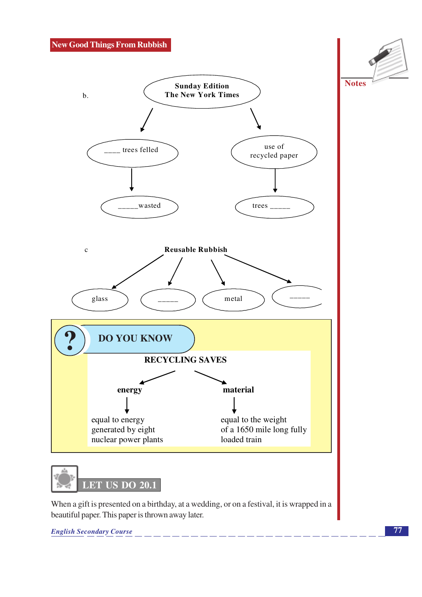

When a gift is presented on a birthday, at a wedding, or on a festival, it is wrapped in a beautiful paper. This paper is thrown away later.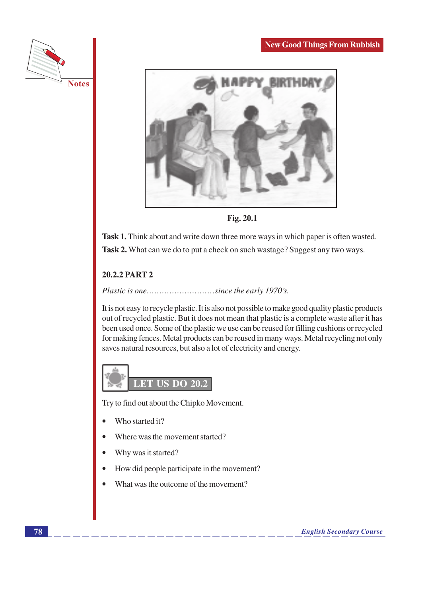



Fig. 20.1

Task 1. Think about and write down three more ways in which paper is often wasted.

Task 2. What can we do to put a check on such wastage? Suggest any two ways.

#### **20.2.2 PART 2**

Plastic is one...........................since the early 1970's.

It is not easy to recycle plastic. It is also not possible to make good quality plastic products out of recycled plastic. But it does not mean that plastic is a complete waste after it has been used once. Some of the plastic we use can be reused for filling cushions or recycled for making fences. Metal products can be reused in many ways. Metal recycling not only saves natural resources, but also a lot of electricity and energy.



Try to find out about the Chipko Movement.

- Who started it?
- Where was the movement started?
- Why was it started?
- How did people participate in the movement?
- What was the outcome of the movement?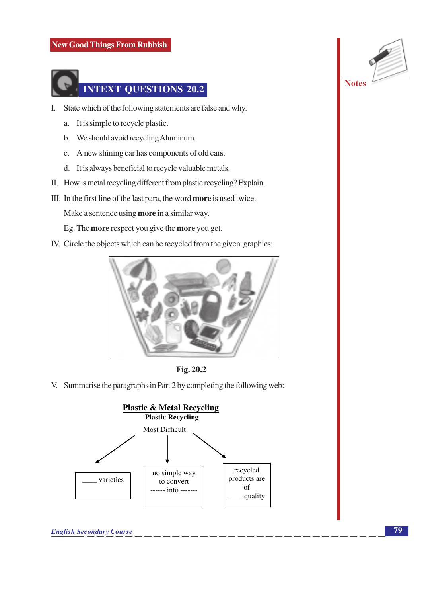

- I. State which of the following statements are false and why.
	- a. It is simple to recycle plastic.
	- b. We should avoid recycling Aluminum.
	- c. A new shining car has components of old cars.
	- d. It is always beneficial to recycle valuable metals.
- II. How is metal recycling different from plastic recycling? Explain.
- III. In the first line of the last para, the word **more** is used twice.

Make a sentence using **more** in a similar way.

Eg. The **more** respect you give the **more** you get.

IV. Circle the objects which can be recycled from the given graphics:



 $Fig. 20.2$ 

V. Summarise the paragraphs in Part 2 by completing the following web:



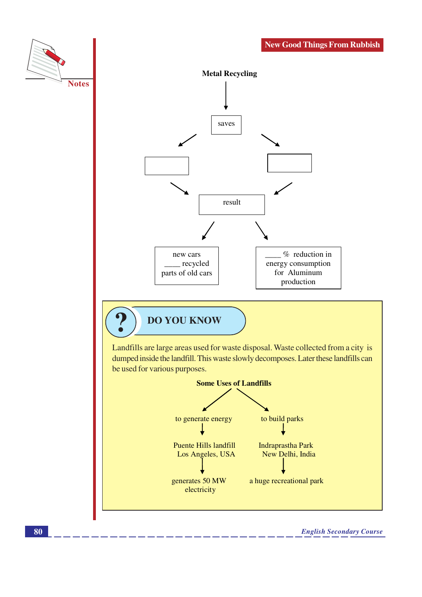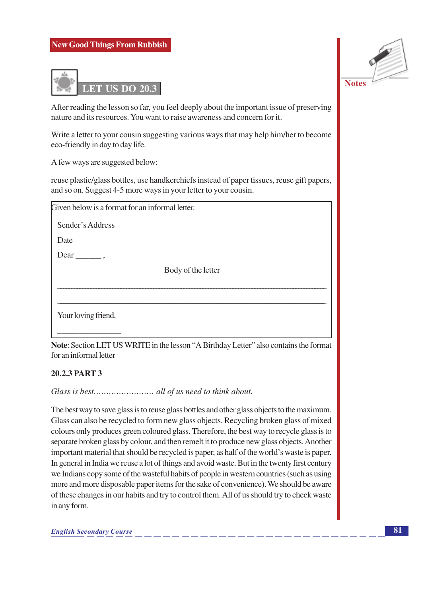#### **New Good Things From Rubbish**



After reading the lesson so far, you feel deeply about the important issue of preserving nature and its resources. You want to raise awareness and concern for it.

Write a letter to your cousin suggesting various ways that may help him/her to become eco-friendly in day to day life.

A few ways are suggested below:

reuse plastic/glass bottles, use handkerchiefs instead of paper tissues, reuse gift papers, and so on. Suggest 4-5 more ways in your letter to your cousin.

| Given below is a format for an informal letter. |
|-------------------------------------------------|
| Sender's Address                                |
| Date                                            |
| $\text{Dear}\_\_\_\_\_\$ ,                      |
| Body of the letter                              |
|                                                 |
| Your loving friend,                             |

Note: Section LET US WRITE in the lesson "A Birthday Letter" also contains the format for an informal letter

#### **20.2.3 PART 3**

The best way to save glass is to reuse glass bottles and other glass objects to the maximum. Glass can also be recycled to form new glass objects. Recycling broken glass of mixed colours only produces green coloured glass. Therefore, the best way to recycle glass is to separate broken glass by colour, and then remelt it to produce new glass objects. Another important material that should be recycled is paper, as half of the world's waste is paper. In general in India we reuse a lot of things and avoid waste. But in the twenty first century we Indians copy some of the wasteful habits of people in western countries (such as using more and more disposable paper items for the sake of convenience). We should be aware of these changes in our habits and try to control them. All of us should try to check waste in any form.

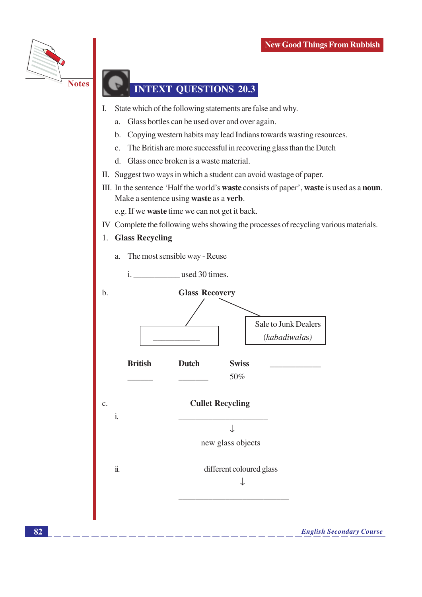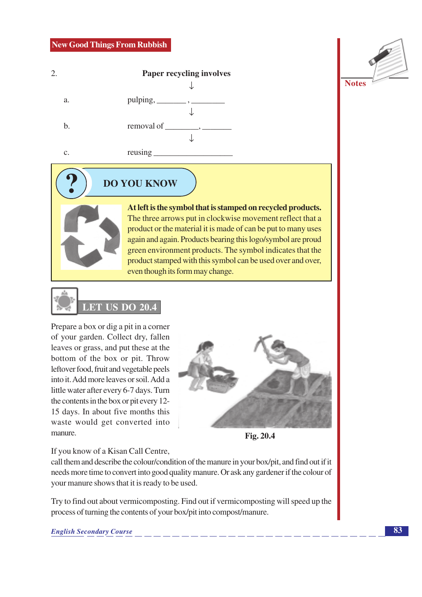#### **New Good Things From Rubbish**

|    | <b>Paper recycling involves</b> |
|----|---------------------------------|
| a. | $pulping, \_\_\_\_\_\$          |
| b. | removal of                      |
| c. | reusing                         |



## **DO YOU KNOW**



At left is the symbol that is stamped on recycled products. The three arrows put in clockwise movement reflect that a product or the material it is made of can be put to many uses again and again. Products bearing this logo/symbol are proud green environment products. The symbol indicates that the product stamped with this symbol can be used over and over, even though its form may change.



Prepare a box or dig a pit in a corner of your garden. Collect dry, fallen leaves or grass, and put these at the bottom of the box or pit. Throw leftover food, fruit and vegetable peels into it. Add more leaves or soil. Add a little water after every 6-7 days. Turn the contents in the box or pit every 12-15 days. In about five months this waste would get converted into manure.



Fig. 20.4

If you know of a Kisan Call Centre,

call them and describe the colour/condition of the manure in your box/pit, and find out if it needs more time to convert into good quality manure. Or ask any gardener if the colour of your manure shows that it is ready to be used.

Try to find out about vermicomposting. Find out if vermicomposting will speed up the process of turning the contents of your box/pit into compost/manure.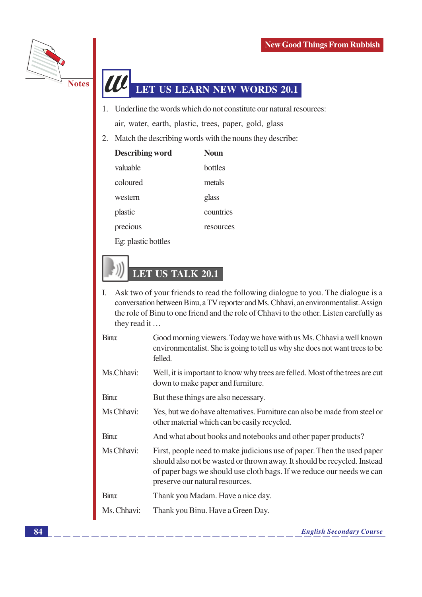

## LET US LEARN NEW WORDS 20.1

- 1. Underline the words which do not constitute our natural resources: air, water, earth, plastic, trees, paper, gold, glass
- 2. Match the describing words with the nouns they describe:

| <b>Describing word</b> | <b>Noun</b> |
|------------------------|-------------|
| valuable               | bottles     |
| coloured               | metals      |
| western                | glass       |
| plastic                | countries   |
| precious               | resources   |
| Eg: plastic bottles    |             |

## LET US TALK 20.1

I. Ask two of your friends to read the following dialogue to you. The dialogue is a conversation between Binu, a TV reporter and Ms. Chhavi, an environmentalist. Assign the role of Binu to one friend and the role of Chhavi to the other. Listen carefully as they read it...

| Binu:       | Good morning viewers. Today we have with us Ms. Chhavi a well known<br>environmentalist. She is going to tell us why she does not want trees to be<br>felled.                                                                                                  |
|-------------|----------------------------------------------------------------------------------------------------------------------------------------------------------------------------------------------------------------------------------------------------------------|
| Ms.Chhavi:  | Well, it is important to know why trees are felled. Most of the trees are cut<br>down to make paper and furniture.                                                                                                                                             |
| Binu:       | But these things are also necessary.                                                                                                                                                                                                                           |
| Ms Chhavi:  | Yes, but we do have alternatives. Furniture can also be made from steel or<br>other material which can be easily recycled.                                                                                                                                     |
| Binu:       | And what about books and notebooks and other paper products?                                                                                                                                                                                                   |
| Ms Chhavi:  | First, people need to make judicious use of paper. Then the used paper<br>should also not be wasted or thrown away. It should be recycled. Instead<br>of paper bags we should use cloth bags. If we reduce our needs we can<br>preserve our natural resources. |
| Binu:       | Thank you Madam. Have a nice day.                                                                                                                                                                                                                              |
| Ms. Chhavi: | Thank you Binu. Have a Green Day.                                                                                                                                                                                                                              |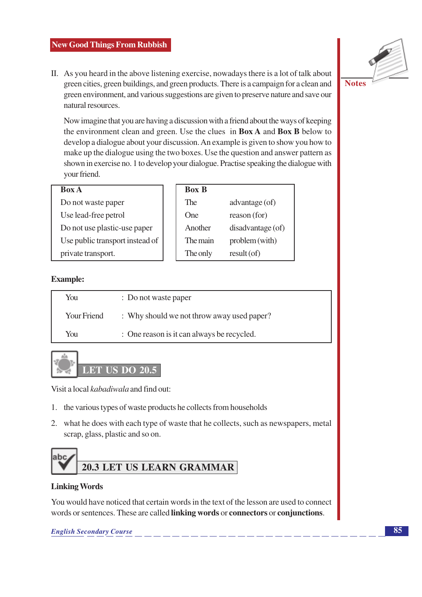

II. As you heard in the above listening exercise, nowadays there is a lot of talk about green cities, green buildings, and green products. There is a campaign for a clean and green environment, and various suggestions are given to preserve nature and save our natural resources.

Now imagine that you are having a discussion with a friend about the ways of keeping the environment clean and green. Use the clues in **Box A** and **Box B** below to develop a dialogue about your discussion. An example is given to show you how to make up the dialogue using the two boxes. Use the question and answer pattern as shown in exercise no. 1 to develop your dialogue. Practise speaking the dialogue with your friend.

| <b>Box A</b>                    | <b>Box B</b> |                   |
|---------------------------------|--------------|-------------------|
| Do not waste paper              | The          | advantage (of)    |
| Use lead-free petrol            | <b>One</b>   | reason (for)      |
| Do not use plastic-use paper    | Another      | disadvantage (of) |
| Use public transport instead of | The main     | problem (with)    |
| private transport.              | The only     | result(of)        |

#### **Example:**

| You         | : Do not waste paper                       |
|-------------|--------------------------------------------|
| Your Friend | : Why should we not throw away used paper? |
| You         | : One reason is it can always be recycled. |



Visit a local kabadiwala and find out:

- 1. the various types of waste products he collects from households
- 2. what he does with each type of waste that he collects, such as newspapers, metal scrap, glass, plastic and so on.



#### **Linking Words**

You would have noticed that certain words in the text of the lesson are used to connect words or sentences. These are called linking words or connectors or conjunctions.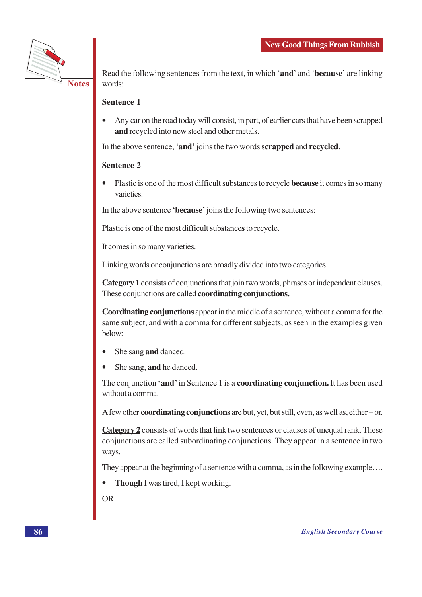

Read the following sentences from the text, in which 'and' and 'because' are linking words:

#### **Sentence 1**

Any car on the road today will consist, in part, of earlier cars that have been scrapped and recycled into new steel and other metals.

In the above sentence, 'and' joins the two words scrapped and recycled.

#### **Sentence 2**

Plastic is one of the most difficult substances to recycle **because** it comes in so many varieties.

In the above sentence 'because' joins the following two sentences:

Plastic is one of the most difficult substances to recycle.

It comes in so many varieties.

Linking words or conjunctions are broadly divided into two categories.

**Category 1** consists of conjunctions that join two words, phrases or independent clauses. These conjunctions are called **coordinating conjunctions.** 

**Coordinating conjunctions** appear in the middle of a sentence, without a comma for the same subject, and with a comma for different subjects, as seen in the examples given below:

- She sang and danced.
- She sang, and he danced.

The conjunction 'and' in Sentence 1 is a coordinating conjunction. It has been used without a comma.

A few other **coordinating conjunctions** are but, yet, but still, even, as well as, either – or.

Category 2 consists of words that link two sentences or clauses of unequal rank. These conjunctions are called subordinating conjunctions. They appear in a sentence in two ways.

They appear at the beginning of a sentence with a comma, as in the following example....

**Though I** was tired, I kept working.

**OR**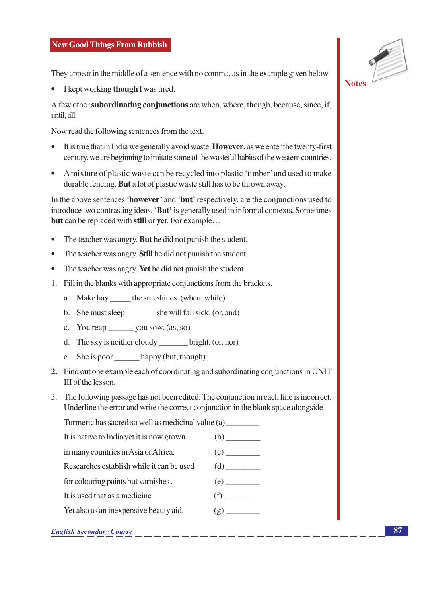They appear in the middle of a sentence with no comma, as in the example given below.

• I kept working though I was tired.

A few other **subordinating conjunctions** are when, where, though, because, since, if, until.till.

Now read the following sentences from the text.

- It is true that in India we generally avoid waste. **However**, as we enter the twenty-first century, we are beginning to imitate some of the wasteful habits of the western countries.
- A mixture of plastic waste can be recycled into plastic 'timber' and used to make durable fencing. But a lot of plastic waste still has to be thrown away.

In the above sentences 'however' and 'but' respectively, are the conjunctions used to introduce two contrasting ideas. **But'** is generally used in informal contexts. Sometimes but can be replaced with still or yet. For example...

- $\bullet$ The teacher was angry. But he did not punish the student.
- The teacher was angry. Still he did not punish the student.  $\bullet$
- The teacher was angry. Yet he did not punish the student.  $\bullet$
- 1. Fill in the blanks with appropriate conjunctions from the brackets.
	- a. Make hay \_\_\_\_\_\_ the sun shines. (when, while)
	- b. She must sleep \_\_\_\_\_\_\_\_ she will fall sick. (or, and)
	- c. You reap \_\_\_\_\_\_\_\_ you sow.  $(as, so)$
	- d. The sky is neither cloudy \_\_\_\_\_\_\_ bright. (or, nor)
	- e. She is poor happy (but, though)
- 2. Find out one example each of coordinating and subordinating conjunctions in UNIT III of the lesson.
- 3. The following passage has not been edited. The conjunction in each line is incorrect. Underline the error and write the correct conjunction in the blank space alongside

 $(g)$ 

Turmeric has sacred so well as medicinal value (a)

- $(b)$ It is native to India yet it is now grown in many countries in Asia or Africa.
- Researches establish while it can be used
- for colouring paints but varnishes.  $(e)$
- It is used that as a medicine

Yet also as an inexpensive beauty aid.

| <b>English Secondary Course</b> |  |  |
|---------------------------------|--|--|
|                                 |  |  |

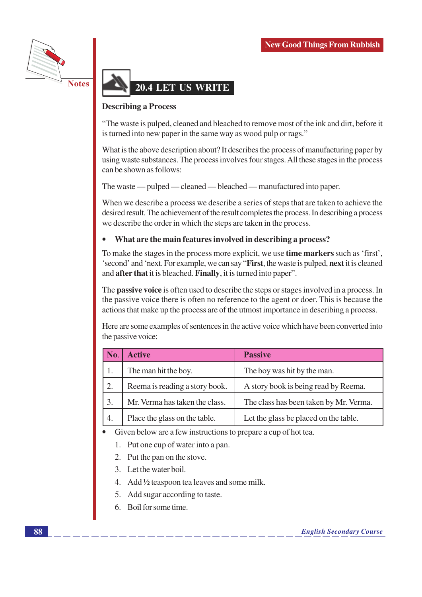

## **20.4 LET US WRITE**

#### **Describing a Process**

"The waste is pulped, cleaned and bleached to remove most of the ink and dirt, before it is turned into new paper in the same way as wood pulp or rags."

What is the above description about? It describes the process of manufacturing paper by using waste substances. The process involves four stages. All these stages in the process can be shown as follows:

The waste — pulped — cleaned — bleached — manufactured into paper.

When we describe a process we describe a series of steps that are taken to achieve the desired result. The achievement of the result completes the process. In describing a process we describe the order in which the steps are taken in the process.

#### What are the main features involved in describing a process?

To make the stages in the process more explicit, we use **time markers** such as 'first', 'second' and 'next. For example, we can say "First, the waste is pulped, next it is cleaned and **after that** it is bleached. **Finally**, it is turned into paper".

The **passive voice** is often used to describe the steps or stages involved in a process. In the passive voice there is often no reference to the agent or doer. This is because the actions that make up the process are of the utmost importance in describing a process.

Here are some examples of sentences in the active voice which have been converted into the passive voice:

| No. | <b>Active</b>                  | <b>Passive</b>                         |
|-----|--------------------------------|----------------------------------------|
|     | The man hit the boy.           | The boy was hit by the man.            |
| 2.  | Reema is reading a story book. | A story book is being read by Reema.   |
| 3.  | Mr. Verma has taken the class. | The class has been taken by Mr. Verma. |
| 4.  | Place the glass on the table.  | Let the glass be placed on the table.  |

Given below are a few instructions to prepare a cup of hot tea.

- 1. Put one cup of water into a pan.
- 2. Put the pan on the stove.
- 3. Let the water boil.
- 4. Add 1/2 teaspoon tea leaves and some milk.
- 5. Add sugar according to taste.
- 6. Boil for some time.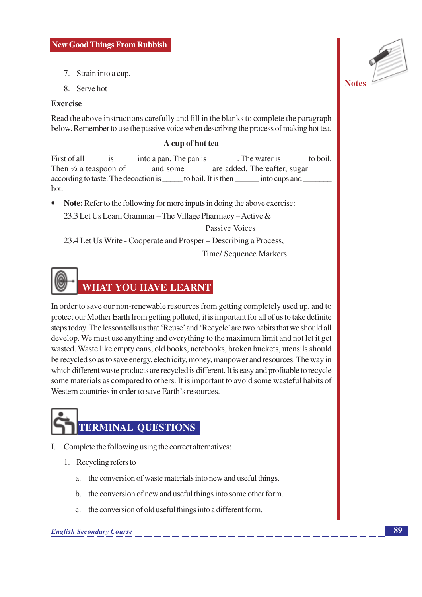- 7. Strain into a cup.
- 8. Serve hot

#### **Exercise**

Read the above instructions carefully and fill in the blanks to complete the paragraph below. Remember to use the passive voice when describing the process of making hot tea.

#### A cup of hot tea

First of all is into a pan. The pan is The water is to boil. Then  $\frac{1}{2}$  a teaspoon of and some are added. Thereafter, sugar hot.

• Note: Refer to the following for more inputs in doing the above exercise: 23.3 Let Us Learn Grammar – The Village Pharmacy – Active &

**Passive Voices** 

23.4 Let Us Write - Cooperate and Prosper – Describing a Process,

**Time/Sequence Markers** 



In order to save our non-renewable resources from getting completely used up, and to protect our Mother Earth from getting polluted, it is important for all of us to take definite steps today. The lesson tells us that 'Reuse' and 'Recycle' are two habits that we should all develop. We must use anything and everything to the maximum limit and not let it get wasted. Waste like empty cans, old books, notebooks, broken buckets, utensils should be recycled so as to save energy, electricity, money, manpower and resources. The way in which different waste products are recycled is different. It is easy and profitable to recycle some materials as compared to others. It is important to avoid some wasteful habits of Western countries in order to save Earth's resources.

## **TERMINAL QUESTIONS**

- I. Complete the following using the correct alternatives:
	- 1. Recycling refers to
		- a. the conversion of waste materials into new and useful things.
		- b. the conversion of new and useful things into some other form.
		- c. the conversion of old useful things into a different form.